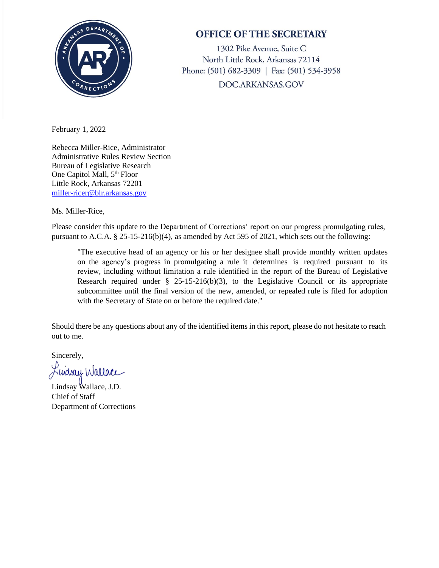

## **OFFICE OF THE SECRETARY**

1302 Pike Avenue, Suite C North Little Rock, Arkansas 72114 Phone: (501) 682-3309 | Fax: (501) 534-3958 DOC.ARKANSAS.GOV

February 1, 2022

Rebecca Miller-Rice, Administrator Administrative Rules Review Section Bureau of Legislative Research One Capitol Mall, 5<sup>th</sup> Floor Little Rock, Arkansas 72201 [miller-ricer@blr.arkansas.gov](mailto:miller-ricer@blr.arkansas.gov)

Ms. Miller-Rice,

Please consider this update to the Department of Corrections' report on our progress promulgating rules, pursuant to A.C.A. § 25-15-216(b)(4), as amended by Act 595 of 2021, which sets out the following:

"The executive head of an agency or his or her designee shall provide monthly written updates on the agency's progress in promulgating a rule it determines is required pursuant to its review, including without limitation a rule identified in the report of the Bureau of Legislative Research required under  $\S$  25-15-216(b)(3), to the Legislative Council or its appropriate subcommittee until the final version of the new, amended, or repealed rule is filed for adoption with the Secretary of State on or before the required date."

Should there be any questions about any of the identified items in this report, please do not hesitate to reach out to me.

Sincerely,

Kudsay Wallace

Lindsay Wallace, J.D. Chief of Staff Department of Corrections